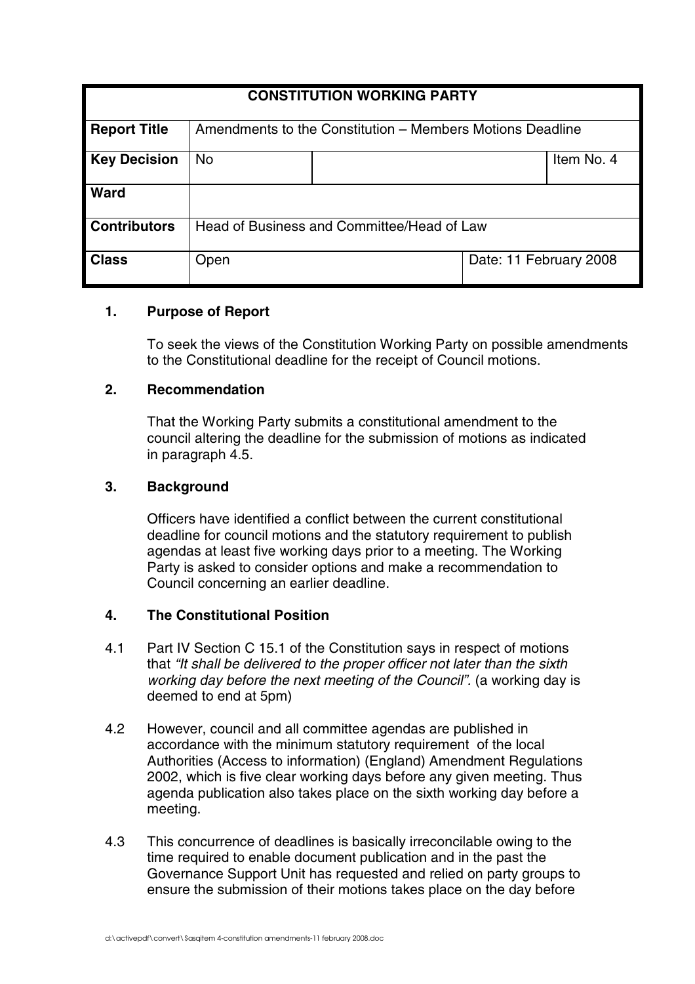| <b>CONSTITUTION WORKING PARTY</b> |                                                           |  |                        |            |
|-----------------------------------|-----------------------------------------------------------|--|------------------------|------------|
| <b>Report Title</b>               | Amendments to the Constitution – Members Motions Deadline |  |                        |            |
| <b>Key Decision</b>               | <b>No</b>                                                 |  |                        | Item No. 4 |
| <b>Ward</b>                       |                                                           |  |                        |            |
| <b>Contributors</b>               | Head of Business and Committee/Head of Law                |  |                        |            |
| <b>Class</b>                      | Open                                                      |  | Date: 11 February 2008 |            |

### **1. Purpose of Report**

To seek the views of the Constitution Working Party on possible amendments to the Constitutional deadline for the receipt of Council motions.

## **2. Recommendation**

That the Working Party submits a constitutional amendment to the council altering the deadline for the submission of motions as indicated in paragraph 4.5.

## **3. Background**

Officers have identified a conflict between the current constitutional deadline for council motions and the statutory requirement to publish agendas at least five working days prior to a meeting. The Working Party is asked to consider options and make a recommendation to Council concerning an earlier deadline.

## **4. The Constitutional Position**

- 4.1 Part IV Section C 15.1 of the Constitution says in respect of motions that "It shall be delivered to the proper officer not later than the sixth working day before the next meeting of the Council". (a working day is deemed to end at 5pm)
- 4.2 However, council and all committee agendas are published in accordance with the minimum statutory requirement of the local Authorities (Access to information) (England) Amendment Regulations 2002, which is five clear working days before any given meeting. Thus agenda publication also takes place on the sixth working day before a meeting.
- 4.3 This concurrence of deadlines is basically irreconcilable owing to the time required to enable document publication and in the past the Governance Support Unit has requested and relied on party groups to ensure the submission of their motions takes place on the day before